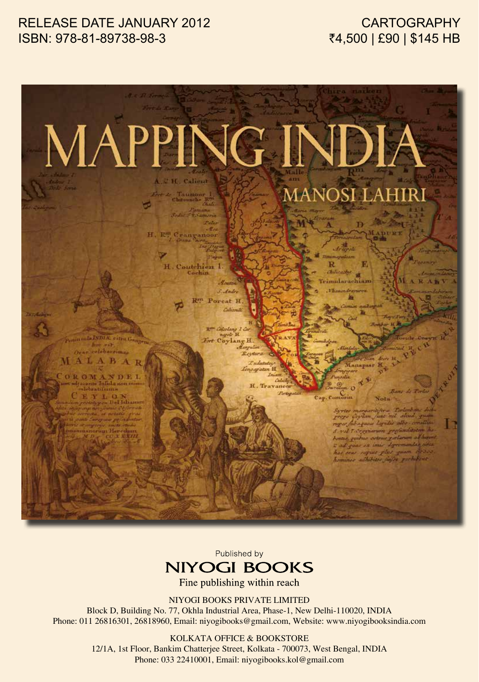### RELEASE DATE JANUARY 2012 ISBN: 978-81-89738-98-3

## **CARTOGRAPHY** ₹4,500 | £90 | \$145 HB



Published by



Fine publishing within reach

NIYOGI BOOKS PRIVATE LIMITED

Block D, Building No. 77, Okhla Industrial Area, Phase-1, New Delhi-110020, INDIA Phone: 011 26816301, 26818960, Email: niyogibooks@gmail.com, Website: www.niyogibooksindia.com

#### KOLKATA OFFICE & BOOKSTORE

12/1A, 1st Floor, Bankim Chatterjee Street, Kolkata - 700073, West Bengal, INDIA Phone: 033 22410001, Email: niyogibooks.kol@gmail.com